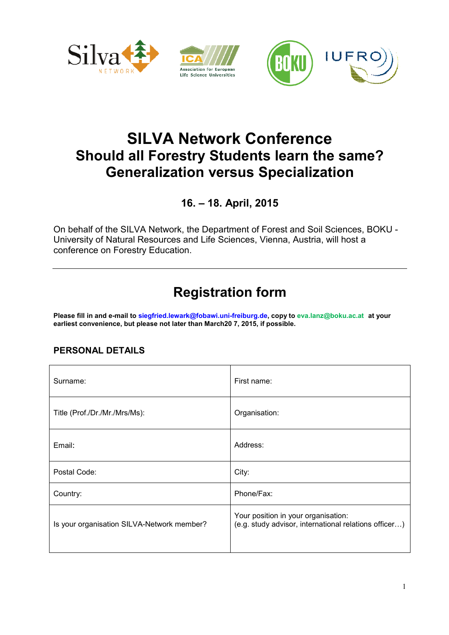

## SILVA Network Conference Should all Forestry Students learn the same? Generalization versus Specialization

16. – 18. April, 2015

On behalf of the SILVA Network, the Department of Forest and Soil Sciences, BOKU - University of Natural Resources and Life Sciences, Vienna, Austria, will host a conference on Forestry Education.

# Registration form

Please fill in and e-mail to siegfried.lewark@fobawi.uni-freiburg.de, copy to eva.lanz@boku.ac.at at your earliest convenience, but please not later than March20 7, 2015, if possible.

#### PERSONAL DETAILS

| Surname:                                   | First name:                                                                                  |  |
|--------------------------------------------|----------------------------------------------------------------------------------------------|--|
| Title (Prof./Dr./Mr./Mrs/Ms):              | Organisation:                                                                                |  |
| Email:                                     | Address:                                                                                     |  |
| Postal Code:                               | City:                                                                                        |  |
| Country:                                   | Phone/Fax:                                                                                   |  |
| Is your organisation SILVA-Network member? | Your position in your organisation:<br>(e.g. study advisor, international relations officer) |  |